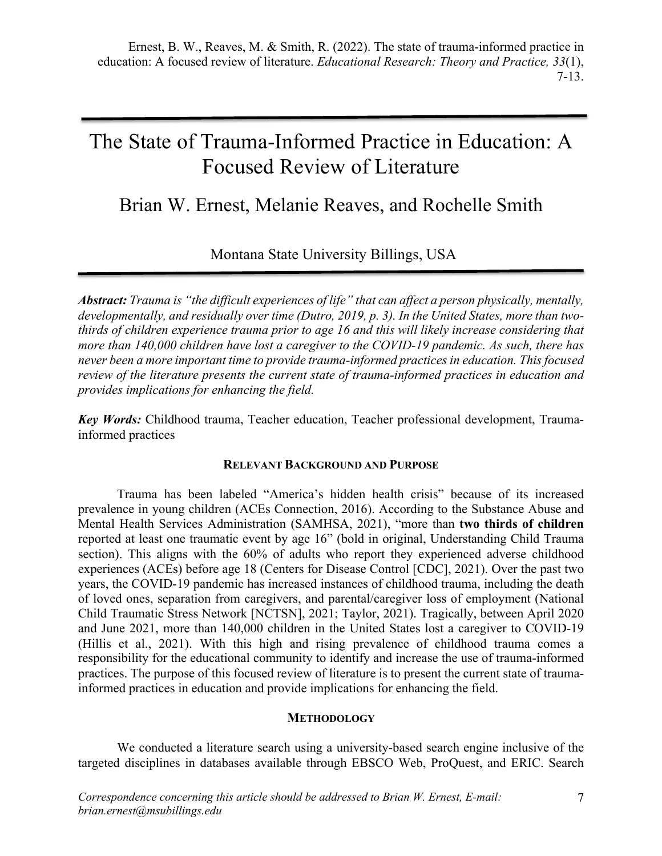# The State of Trauma-Informed Practice in Education: A Focused Review of Literature

Brian W. Ernest, Melanie Reaves, and Rochelle Smith

Montana State University Billings, USA

*Abstract: Trauma is "the difficult experiences of life" that can affect a person physically, mentally, developmentally, and residually over time (Dutro, 2019, p. 3). In the United States, more than twothirds of children experience trauma prior to age 16 and this will likely increase considering that more than 140,000 children have lost a caregiver to the COVID-19 pandemic. As such, there has never been a more important time to provide trauma-informed practices in education. This focused review of the literature presents the current state of trauma-informed practices in education and provides implications for enhancing the field.* 

*Key Words:* Childhood trauma, Teacher education, Teacher professional development, Traumainformed practices

## **RELEVANT BACKGROUND AND PURPOSE**

Trauma has been labeled "America's hidden health crisis" because of its increased prevalence in young children (ACEs Connection, 2016). According to the Substance Abuse and Mental Health Services Administration (SAMHSA, 2021), "more than **two thirds of children** reported at least one traumatic event by age 16" (bold in original, Understanding Child Trauma section). This aligns with the 60% of adults who report they experienced adverse childhood experiences (ACEs) before age 18 (Centers for Disease Control [CDC], 2021). Over the past two years, the COVID-19 pandemic has increased instances of childhood trauma, including the death of loved ones, separation from caregivers, and parental/caregiver loss of employment (National Child Traumatic Stress Network [NCTSN], 2021; Taylor, 2021). Tragically, between April 2020 and June 2021, more than 140,000 children in the United States lost a caregiver to COVID-19 (Hillis et al., 2021). With this high and rising prevalence of childhood trauma comes a responsibility for the educational community to identify and increase the use of trauma-informed practices. The purpose of this focused review of literature is to present the current state of traumainformed practices in education and provide implications for enhancing the field.

## **METHODOLOGY**

We conducted a literature search using a university-based search engine inclusive of the targeted disciplines in databases available through EBSCO Web, ProQuest, and ERIC. Search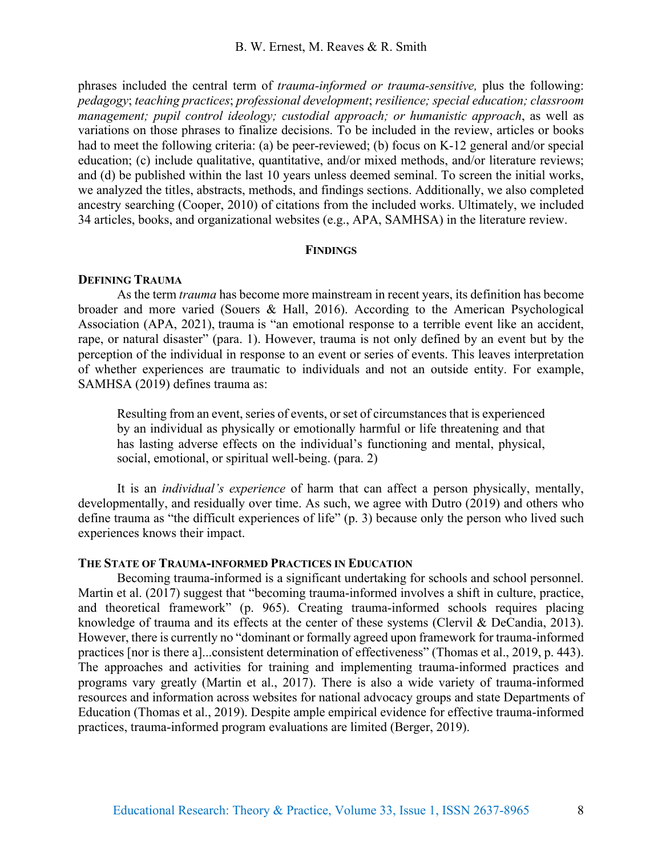phrases included the central term of *trauma-informed or trauma-sensitive,* plus the following: *pedagogy*; *teaching practices*; *professional development*; *resilience; special education; classroom management; pupil control ideology; custodial approach; or humanistic approach*, as well as variations on those phrases to finalize decisions. To be included in the review, articles or books had to meet the following criteria: (a) be peer-reviewed; (b) focus on K-12 general and/or special education; (c) include qualitative, quantitative, and/or mixed methods, and/or literature reviews; and (d) be published within the last 10 years unless deemed seminal. To screen the initial works, we analyzed the titles, abstracts, methods, and findings sections. Additionally, we also completed ancestry searching (Cooper, 2010) of citations from the included works. Ultimately, we included 34 articles, books, and organizational websites (e.g., APA, SAMHSA) in the literature review.

# **FINDINGS**

## **DEFINING TRAUMA**

As the term *trauma* has become more mainstream in recent years, its definition has become broader and more varied (Souers & Hall, 2016). According to the American Psychological Association (APA, 2021), trauma is "an emotional response to a terrible event like an accident, rape, or natural disaster" (para. 1). However, trauma is not only defined by an event but by the perception of the individual in response to an event or series of events. This leaves interpretation of whether experiences are traumatic to individuals and not an outside entity. For example, SAMHSA (2019) defines trauma as:

Resulting from an event, series of events, or set of circumstances that is experienced by an individual as physically or emotionally harmful or life threatening and that has lasting adverse effects on the individual's functioning and mental, physical, social, emotional, or spiritual well-being. (para. 2)

It is an *individual's experience* of harm that can affect a person physically, mentally, developmentally, and residually over time. As such, we agree with Dutro (2019) and others who define trauma as "the difficult experiences of life" (p. 3) because only the person who lived such experiences knows their impact.

### **THE STATE OF TRAUMA-INFORMED PRACTICES IN EDUCATION**

Becoming trauma-informed is a significant undertaking for schools and school personnel. Martin et al. (2017) suggest that "becoming trauma-informed involves a shift in culture, practice, and theoretical framework" (p. 965). Creating trauma-informed schools requires placing knowledge of trauma and its effects at the center of these systems (Clervil & DeCandia, 2013). However, there is currently no "dominant or formally agreed upon framework for trauma-informed practices [nor is there a]...consistent determination of effectiveness" (Thomas et al., 2019, p. 443). The approaches and activities for training and implementing trauma-informed practices and programs vary greatly (Martin et al., 2017). There is also a wide variety of trauma-informed resources and information across websites for national advocacy groups and state Departments of Education (Thomas et al., 2019). Despite ample empirical evidence for effective trauma-informed practices, trauma-informed program evaluations are limited (Berger, 2019).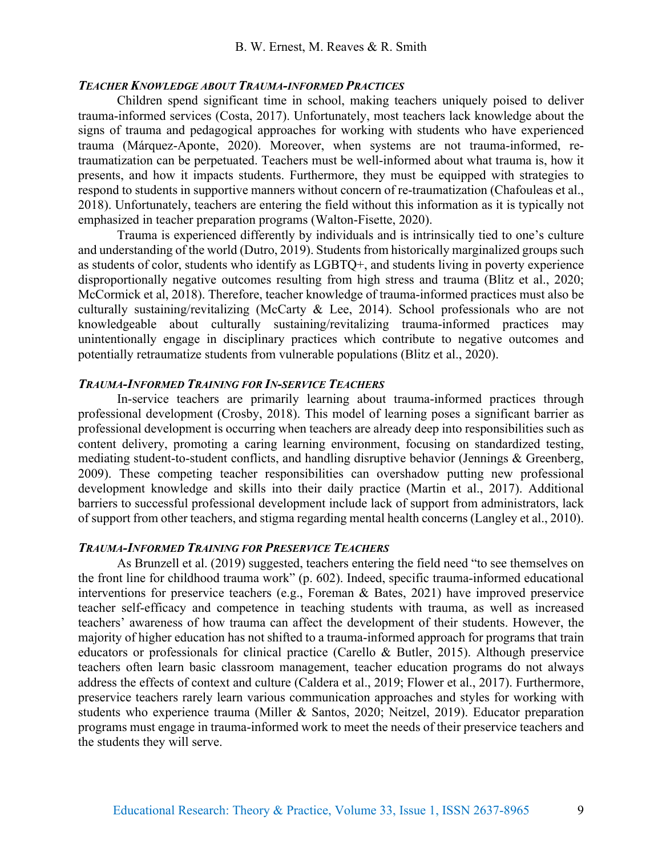### *TEACHER KNOWLEDGE ABOUT TRAUMA-INFORMED PRACTICES*

Children spend significant time in school, making teachers uniquely poised to deliver trauma-informed services (Costa, 2017). Unfortunately, most teachers lack knowledge about the signs of trauma and pedagogical approaches for working with students who have experienced trauma (Márquez-Aponte, 2020). Moreover, when systems are not trauma-informed, retraumatization can be perpetuated. Teachers must be well-informed about what trauma is, how it presents, and how it impacts students. Furthermore, they must be equipped with strategies to respond to students in supportive manners without concern of re-traumatization (Chafouleas et al., 2018). Unfortunately, teachers are entering the field without this information as it is typically not emphasized in teacher preparation programs (Walton-Fisette, 2020).

Trauma is experienced differently by individuals and is intrinsically tied to one's culture and understanding of the world (Dutro, 2019). Students from historically marginalized groups such as students of color, students who identify as LGBTQ+, and students living in poverty experience disproportionally negative outcomes resulting from high stress and trauma (Blitz et al., 2020; McCormick et al, 2018). Therefore, teacher knowledge of trauma-informed practices must also be culturally sustaining/revitalizing (McCarty & Lee, 2014). School professionals who are not knowledgeable about culturally sustaining/revitalizing trauma-informed practices may unintentionally engage in disciplinary practices which contribute to negative outcomes and potentially retraumatize students from vulnerable populations (Blitz et al., 2020).

#### *TRAUMA-INFORMED TRAINING FOR IN-SERVICE TEACHERS*

In-service teachers are primarily learning about trauma-informed practices through professional development (Crosby, 2018). This model of learning poses a significant barrier as professional development is occurring when teachers are already deep into responsibilities such as content delivery, promoting a caring learning environment, focusing on standardized testing, mediating student-to-student conflicts, and handling disruptive behavior (Jennings & Greenberg, 2009). These competing teacher responsibilities can overshadow putting new professional development knowledge and skills into their daily practice (Martin et al., 2017). Additional barriers to successful professional development include lack of support from administrators, lack of support from other teachers, and stigma regarding mental health concerns (Langley et al., 2010).

#### *TRAUMA-INFORMED TRAINING FOR PRESERVICE TEACHERS*

As Brunzell et al. (2019) suggested, teachers entering the field need "to see themselves on the front line for childhood trauma work" (p. 602). Indeed, specific trauma-informed educational interventions for preservice teachers (e.g., Foreman & Bates, 2021) have improved preservice teacher self-efficacy and competence in teaching students with trauma, as well as increased teachers' awareness of how trauma can affect the development of their students. However, the majority of higher education has not shifted to a trauma-informed approach for programs that train educators or professionals for clinical practice (Carello & Butler, 2015). Although preservice teachers often learn basic classroom management, teacher education programs do not always address the effects of context and culture (Caldera et al., 2019; Flower et al., 2017). Furthermore, preservice teachers rarely learn various communication approaches and styles for working with students who experience trauma (Miller & Santos, 2020; Neitzel, 2019). Educator preparation programs must engage in trauma-informed work to meet the needs of their preservice teachers and the students they will serve.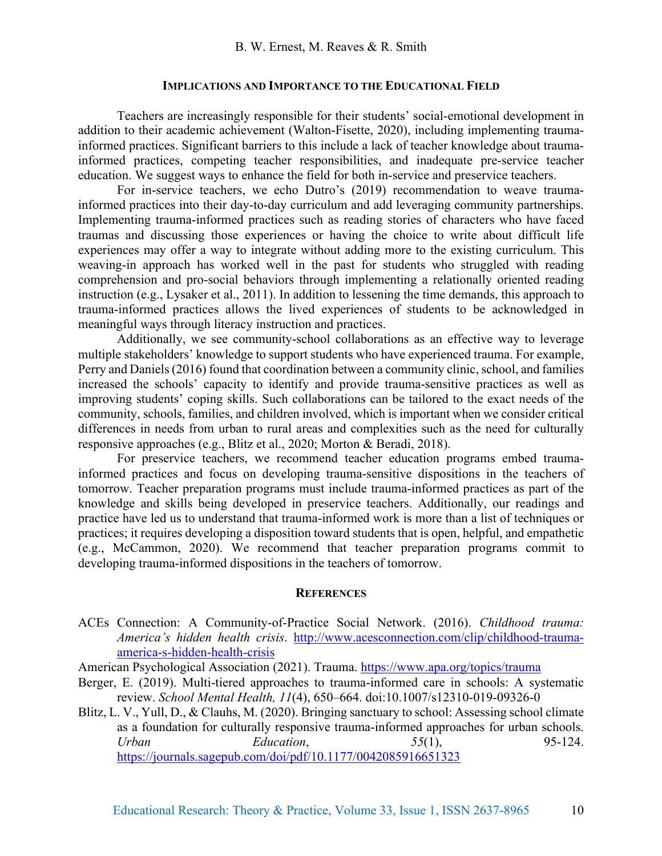#### **IMPLICATIONS AND IMPORTANCE TO THE EDUCATIONAL FIELD**

Teachers are increasingly responsible for their students' social-emotional development in addition to their academic achievement (Walton-Fisette, 2020), including implementing traumainformed practices. Significant barriers to this include a lack of teacher knowledge about traumainformed practices, competing teacher responsibilities, and inadequate pre-service teacher education. We suggest ways to enhance the field for both in-service and preservice teachers.

For in-service teachers, we echo Dutro's (2019) recommendation to weave traumainformed practices into their day-to-day curriculum and add leveraging community partnerships. Implementing trauma-informed practices such as reading stories of characters who have faced traumas and discussing those experiences or having the choice to write about difficult life experiences may offer a way to integrate without adding more to the existing curriculum. This weaving-in approach has worked well in the past for students who struggled with reading comprehension and pro-social behaviors through implementing a relationally oriented reading instruction (e.g., Lysaker et al., 2011). In addition to lessening the time demands, this approach to trauma-informed practices allows the lived experiences of students to be acknowledged in meaningful ways through literacy instruction and practices.

Additionally, we see community-school collaborations as an effective way to leverage multiple stakeholders' knowledge to support students who have experienced trauma. For example, Perry and Daniels (2016) found that coordination between a community clinic, school, and families increased the schools' capacity to identify and provide trauma-sensitive practices as well as improving students' coping skills. Such collaborations can be tailored to the exact needs of the community, schools, families, and children involved, which is important when we consider critical differences in needs from urban to rural areas and complexities such as the need for culturally responsive approaches (e.g., Blitz et al., 2020; Morton & Beradi, 2018).

For preservice teachers, we recommend teacher education programs embed traumainformed practices and focus on developing trauma-sensitive dispositions in the teachers of tomorrow. Teacher preparation programs must include trauma-informed practices as part of the knowledge and skills being developed in preservice teachers. Additionally, our readings and practice have led us to understand that trauma-informed work is more than a list of techniques or practices; it requires developing a disposition toward students that is open, helpful, and empathetic (e.g., McCammon, 2020). We recommend that teacher preparation programs commit to developing trauma-informed dispositions in the teachers of tomorrow.

#### **REFERENCES**

ACEs Connection: A Community-of-Practice Social Network. (2016). *Childhood trauma: America's hidden health crisis*. http://www.acesconnection.com/clip/childhood-traumaamerica-s-hidden-health-crisis

American Psychological Association (2021). Trauma. https://www.apa.org/topics/trauma

- Berger, E. (2019). Multi-tiered approaches to trauma-informed care in schools: A systematic review. *School Mental Health, 11*(4), 650–664. doi:10.1007/s12310-019-09326-0
- Blitz, L. V., Yull, D., & Clauhs, M. (2020). Bringing sanctuary to school: Assessing school climate as a foundation for culturally responsive trauma-informed approaches for urban schools. *Urban Education*, *55*(1), 95-124. https://journals.sagepub.com/doi/pdf/10.1177/0042085916651323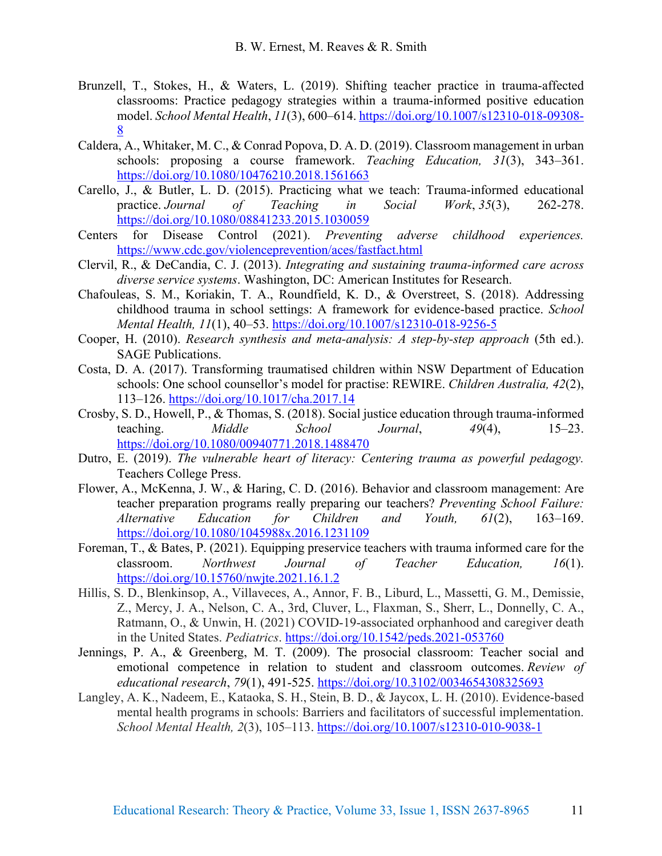- Brunzell, T., Stokes, H., & Waters, L. (2019). Shifting teacher practice in trauma-affected classrooms: Practice pedagogy strategies within a trauma-informed positive education model. *School Mental Health*, *11*(3), 600–614. https://doi.org/10.1007/s12310-018-09308- 8
- Caldera, A., Whitaker, M. C., & Conrad Popova, D. A. D. (2019). Classroom management in urban schools: proposing a course framework. *Teaching Education, 31*(3), 343–361. https://doi.org/10.1080/10476210.2018.1561663
- Carello, J., & Butler, L. D. (2015). Practicing what we teach: Trauma-informed educational practice. *Journal of Teaching in Social Work*, *35*(3), 262-278. https://doi.org/10.1080/08841233.2015.1030059
- Centers for Disease Control (2021). *Preventing adverse childhood experiences.* https://www.cdc.gov/violenceprevention/aces/fastfact.html
- Clervil, R., & DeCandia, C. J. (2013). *Integrating and sustaining trauma-informed care across diverse service systems*. Washington, DC: American Institutes for Research.
- Chafouleas, S. M., Koriakin, T. A., Roundfield, K. D., & Overstreet, S. (2018). Addressing childhood trauma in school settings: A framework for evidence-based practice. *School Mental Health, 11*(1), 40–53. https://doi.org/10.1007/s12310-018-9256-5
- Cooper, H. (2010). *Research synthesis and meta-analysis: A step-by-step approach* (5th ed.). SAGE Publications.
- Costa, D. A. (2017). Transforming traumatised children within NSW Department of Education schools: One school counsellor's model for practise: REWIRE. *Children Australia, 42*(2), 113–126. https://doi.org/10.1017/cha.2017.14
- Crosby, S. D., Howell, P., & Thomas, S. (2018). Social justice education through trauma-informed teaching. *Middle School Journal*, *49*(4), 15–23. https://doi.org/10.1080/00940771.2018.1488470
- Dutro, E. (2019). *The vulnerable heart of literacy: Centering trauma as powerful pedagogy.*  Teachers College Press.
- Flower, A., McKenna, J. W., & Haring, C. D. (2016). Behavior and classroom management: Are teacher preparation programs really preparing our teachers? *Preventing School Failure: Alternative Education for Children and Youth, 61*(2), 163–169. https://doi.org/10.1080/1045988x.2016.1231109
- Foreman, T., & Bates, P. (2021). Equipping preservice teachers with trauma informed care for the classroom. *Northwest Journal of Teacher Education, 16*(1). https://doi.org/10.15760/nwjte.2021.16.1.2
- Hillis, S. D., Blenkinsop, A., Villaveces, A., Annor, F. B., Liburd, L., Massetti, G. M., Demissie, Z., Mercy, J. A., Nelson, C. A., 3rd, Cluver, L., Flaxman, S., Sherr, L., Donnelly, C. A., Ratmann, O., & Unwin, H. (2021) COVID-19-associated orphanhood and caregiver death in the United States. *Pediatrics*. https://doi.org/10.1542/peds.2021-053760
- Jennings, P. A., & Greenberg, M. T. (2009). The prosocial classroom: Teacher social and emotional competence in relation to student and classroom outcomes. *Review of educational research*, *79*(1), 491-525. https://doi.org/10.3102/0034654308325693
- Langley, A. K., Nadeem, E., Kataoka, S. H., Stein, B. D., & Jaycox, L. H. (2010). Evidence-based mental health programs in schools: Barriers and facilitators of successful implementation. *School Mental Health, 2*(3), 105–113. https://doi.org/10.1007/s12310-010-9038-1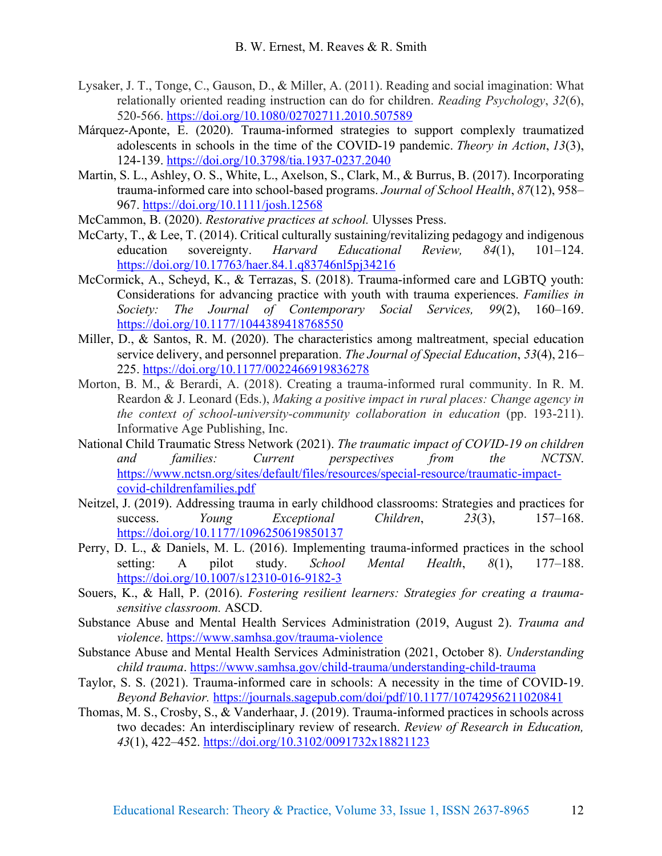- Lysaker, J. T., Tonge, C., Gauson, D., & Miller, A. (2011). Reading and social imagination: What relationally oriented reading instruction can do for children. *Reading Psychology*, *32*(6), 520-566. https://doi.org/10.1080/02702711.2010.507589
- Márquez-Aponte, E. (2020). Trauma-informed strategies to support complexly traumatized adolescents in schools in the time of the COVID-19 pandemic. *Theory in Action*, *13*(3), 124-139. https://doi.org/10.3798/tia.1937-0237.2040
- Martin, S. L., Ashley, O. S., White, L., Axelson, S., Clark, M., & Burrus, B. (2017). Incorporating trauma-informed care into school-based programs. *Journal of School Health*, *87*(12), 958– 967. https://doi.org/10.1111/josh.12568
- McCammon, B. (2020). *Restorative practices at school.* Ulysses Press.
- McCarty, T., & Lee, T. (2014). Critical culturally sustaining/revitalizing pedagogy and indigenous education sovereignty. *Harvard Educational Review, 84*(1), 101–124. https://doi.org/10.17763/haer.84.1.q83746nl5pj34216
- McCormick, A., Scheyd, K., & Terrazas, S. (2018). Trauma-informed care and LGBTQ youth: Considerations for advancing practice with youth with trauma experiences. *Families in Society: The Journal of Contemporary Social Services, 99*(2), 160–169. https://doi.org/10.1177/1044389418768550
- Miller, D., & Santos, R. M. (2020). The characteristics among maltreatment, special education service delivery, and personnel preparation. *The Journal of Special Education*, *53*(4), 216– 225. https://doi.org/10.1177/0022466919836278
- Morton, B. M., & Berardi, A. (2018). Creating a trauma-informed rural community. In R. M. Reardon & J. Leonard (Eds.), *Making a positive impact in rural places: Change agency in the context of school-university-community collaboration in education* (pp. 193-211). Informative Age Publishing, Inc.
- National Child Traumatic Stress Network (2021). *The traumatic impact of COVID-19 on children and families: Current perspectives from the NCTSN*. https://www.nctsn.org/sites/default/files/resources/special-resource/traumatic-impactcovid-childrenfamilies.pdf
- Neitzel, J. (2019). Addressing trauma in early childhood classrooms: Strategies and practices for success. *Young Exceptional Children*, *23*(3), 157–168. https://doi.org/10.1177/1096250619850137
- Perry, D. L., & Daniels, M. L. (2016). Implementing trauma-informed practices in the school setting: A pilot study. *School Mental Health*, *8*(1), 177–188. https://doi.org/10.1007/s12310-016-9182-3
- Souers, K., & Hall, P. (2016). *Fostering resilient learners: Strategies for creating a traumasensitive classroom.* ASCD.
- Substance Abuse and Mental Health Services Administration (2019, August 2). *Trauma and violence*. https://www.samhsa.gov/trauma-violence
- Substance Abuse and Mental Health Services Administration (2021, October 8). *Understanding child trauma*. https://www.samhsa.gov/child-trauma/understanding-child-trauma
- Taylor, S. S. (2021). Trauma-informed care in schools: A necessity in the time of COVID-19. *Beyond Behavior.* https://journals.sagepub.com/doi/pdf/10.1177/10742956211020841
- Thomas, M. S., Crosby, S., & Vanderhaar, J. (2019). Trauma-informed practices in schools across two decades: An interdisciplinary review of research. *Review of Research in Education, 43*(1), 422–452. https://doi.org/10.3102/0091732x18821123